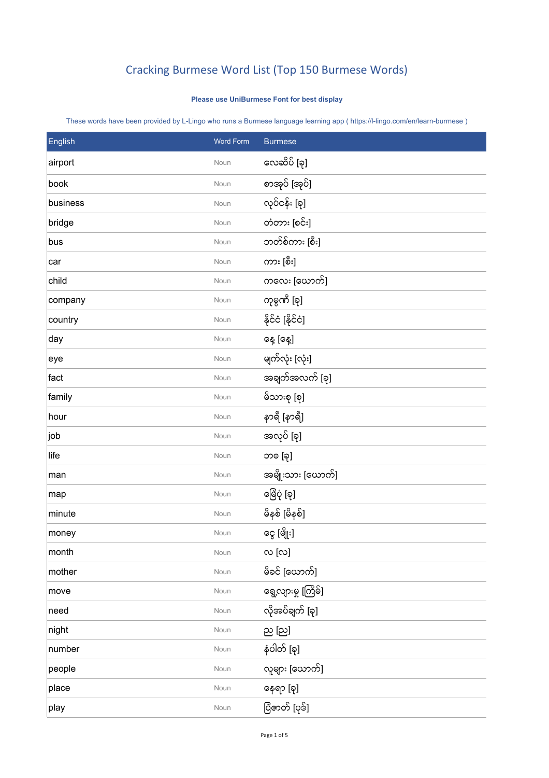## Cracking Burmese Word List (Top 150 Burmese Words)

## **Please use UniBurmese Font for best display**

These words have been provided by L-Lingo who runs a Burmese language learning app ( https://l-lingo.com/en/learn-burmese )

| English  | Word Form | <b>Burmese</b>      |
|----------|-----------|---------------------|
| airport  | Noun      | လေဆိပ် [ခု]         |
| book     | Noun      | စာအုပ် [အုပ်]       |
| business | Noun      | လုပ်ငန်း [ခု]       |
| bridge   | Noun      | တံတား [စင်း]        |
| bus      | Noun      | ဘတ်စ်ကား [စီး]      |
| car      | Noun      | ကား [စီး]           |
| child    | Noun      | ကလေး [ယောက်]        |
| company  | Noun      | ကုမ္ပဏီ [ခု]        |
| country  | Noun      | နိုင်ငံ [နိုင်ငံ]   |
| day      | Noun      | နေ့ [နေ့]           |
| eye      | Noun      | မျက်လုံး [လုံး]     |
| fact     | Noun      | အချက်အလက် [ခု]      |
| family   | Noun      | မိသားစု [စု]        |
| hour     | Noun      | နာရီ [နာရီ]         |
| job      | Noun      | အလုပ် [ခု]          |
| life     | Noun      | ဘၜ [ခု]             |
| man      | Noun      | အမျိုးသား [ယောက်]   |
| map      | Noun      | ဖြေပုံ [ခု]         |
| minute   | Noun      | မိနစ် [မိနစ်]       |
| money    | Noun      | ငွေ [မျိုး]         |
| month    | Noun      | လ $[\infty]$        |
| mother   | Noun      | မိခင် [ယောက်]       |
| move     | Noun      | ရွေ့လျားမှု [ကြိမ်] |
| need     | Noun      | လိုအပ်ချက် [ခု]     |
| night    | Noun      | ည [ည]               |
| number   | Noun      | နံပါတ် [ခု]         |
| people   | Noun      | လူများ [ယောက်]      |
| place    | Noun      | နေရာ [ခု]           |
| play     | Noun      | ပြံဇာတ် [ပုဒ်]      |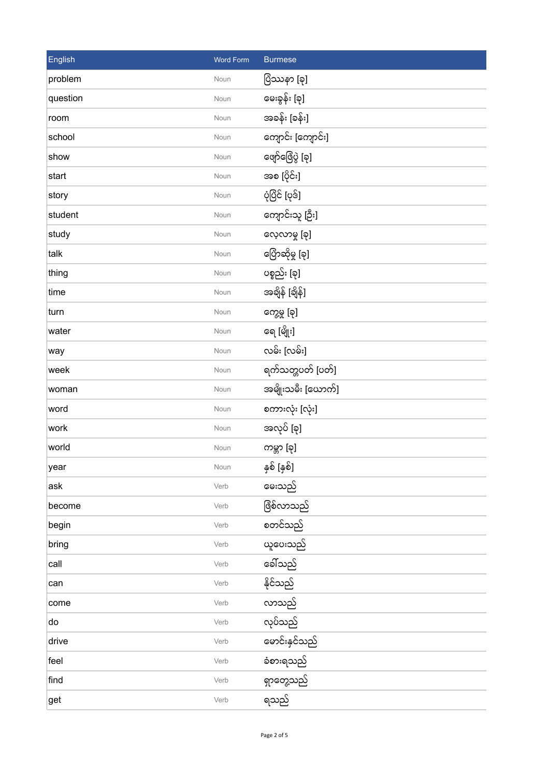| English  | <b>Word Form</b> | <b>Burmese</b>     |
|----------|------------------|--------------------|
| problem  | Noun             | ပြံဿနာ [ခု]        |
| question | Noun             | မေးခွန်း [ခု]      |
| room     | Noun             | အခန်း [ခန်း]       |
| school   | Noun             | ကျောင်း [ကျောင်း]  |
| show     | Noun             | ဖျော်ဖြေပွဲ [ခု]   |
| start    | Noun             | အစ [ပိုင်း]        |
| story    | Noun             | ပုံပြိင် [ပုဒ်]    |
| student  | Noun             | ကျောင်းသူ [ဦး]     |
| study    | Noun             | လေ့လာမှု [ခု]      |
| talk     | Noun             | ပြောဆိုမှု [ခု]    |
| thing    | Noun             | ပစ္စည်း [ခု]       |
| time     | Noun             | အချိန် [ချိန်]     |
| turn     | Noun             | ကွေ့မှု [ခု]       |
| water    | Noun             | ရေ [မျိုး]         |
| way      | Noun             | လမ်း [လမ်း]        |
| week     | Noun             | ရက်သတ္တပတ် [ပတ်]   |
| woman    | Noun             | အမျိုးသမီး [ယောက်] |
| word     | Noun             | စကားလုံး [လုံး]    |
| work     | Noun             | အလုပ် [ခု]         |
| world    | Noun             | ကမ္ဘာ [ခု]         |
| year     | Noun             | နှစ် [နှစ်]        |
| ask      | Verb             | မေးသည်             |
| become   | Verb             | ဖြစ်လာသည်          |
| begin    | Verb             | စတင်သည်            |
| bring    | Verb             | ယူပေးသည်           |
| call     | Verb             | ခေါ်သည်            |
| can      | Verb             | နိုင်သည်           |
| come     | Verb             | လာသည်              |
| do       | Verb             | လုပ်သည်            |
| drive    | Verb             | ဖောင်းနှင်သည်      |
| feel     | Verb             | ခံစားရသည်          |
| find     | Verb             | ရှာတွေ့သည်         |
| get      | Verb             | ရသည်               |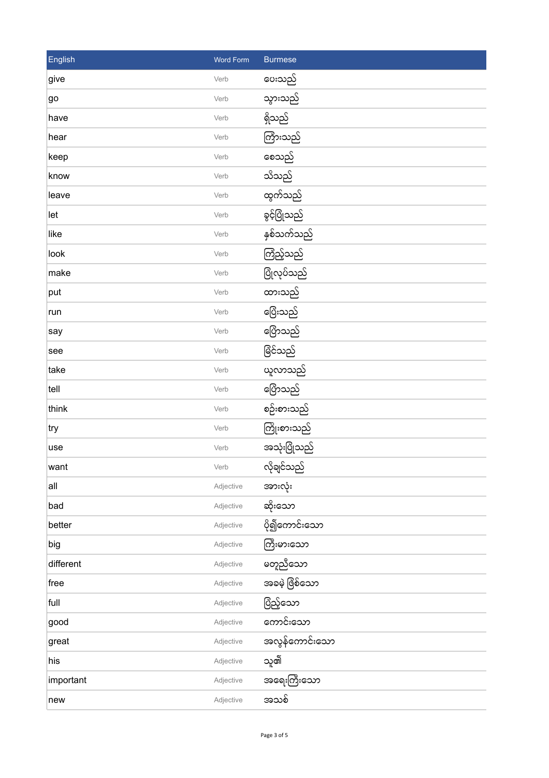| English   | <b>Word Form</b> | <b>Burmese</b> |
|-----------|------------------|----------------|
| give      | Verb             | ပေးသည်         |
| go        | Verb             | သွားသည်        |
| have      | Verb             | ရှိသည်         |
| hear      | Verb             | ကြားသည်        |
| keep      | Verb             | စေသည်          |
| know      | Verb             | သိသည်          |
| leave     | Verb             | ထွက်သည်        |
| let       | Verb             | ခွင့်ပြုံသည်   |
| like      | Verb             | နှစ်သက်သည်     |
| look      | Verb             | ကြံည့်သည်      |
| make      | Verb             | ပြုံလုပ်သည်    |
| put       | Verb             | ထားသည်         |
| run       | Verb             | ပြေးသည်        |
| say       | Verb             | ပြောသည်        |
| see       | Verb             | ဖြိင်သည်       |
| take      | Verb             | ယူလာသည်        |
| tell      | Verb             | ပြောသည်        |
| think     | Verb             | စဉ်းစားသည်     |
| try       | Verb             | ကြိုးစားသည်    |
| use       | Verb             | အသုံးပြုံသည်   |
| want      | Verb             | လိုချင်သည်     |
| all       | Adjective        | အားလုံး        |
| bad       | Adjective        | ဆိုးသော        |
| better    | Adjective        | ပို၍ကောင်းသော  |
| big       | Adjective        | ကြီးမားသော     |
| different | Adjective        | မတူညီသော       |
| free      | Adjective        | အခမဲ့ ဖြစ်သော  |
| full      | Adjective        | ပြံည့်သော      |
| good      | Adjective        | ကောင်းသော      |
| great     | Adjective        | အလွန်ကောင်းသော |
| his       | Adjective        | သူ၏            |
| important | Adjective        | အရေးကြီးသော    |
| new       | Adjective        | အသစ်           |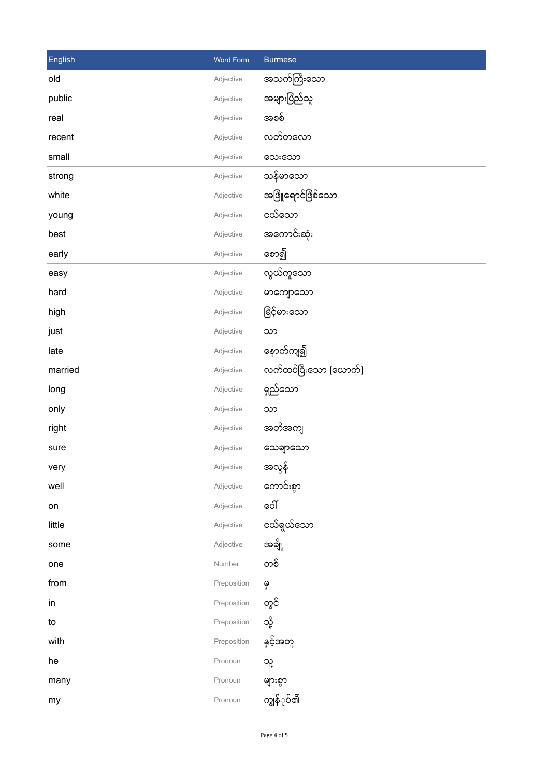| English | Word Form   | <b>Burmese</b>        |
|---------|-------------|-----------------------|
| old     | Adjective   | အသက်ကြီးသော           |
| public  | Adjective   | အများပြည်သူ           |
| real    | Adjective   | အစစ်                  |
| recent  | Adjective   | လတ်တလော               |
| small   | Adjective   | သေးသော                |
| strong  | Adjective   | သန်မာသော              |
| white   | Adjective   | အဖြို့ရောင်ဖြိစ်သော   |
| young   | Adjective   | ငယ်သော                |
| best    | Adjective   | အကောင်းဆုံး           |
| early   | Adjective   | စော၍                  |
| easy    | Adjective   | လွယ်ကူသော             |
| hard    | Adjective   | မာကျောသော             |
| high    | Adjective   | ဖြင့်မားသော           |
| ∣just   | Adjective   | သာ                    |
| late    | Adjective   | နောက်ကျ၍              |
| married | Adjective   | လက်ထပ်ပြီးသော [ယောက်] |
| long    | Adjective   | ရှည်သော               |
| only    | Adjective   | သာ                    |
| right   | Adjective   | အတိအကျ                |
| sure    | Adjective   | သေချာသော              |
| very    | Adjective   | အလွန်                 |
| well    | Adjective   | ကောင်းစွာ             |
| on      | Adjective   | ပေါ်                  |
| little  | Adjective   | ငယ်ရွယ်သော            |
| some    | Adjective   | အချို့                |
| one     | Number      | တစ်                   |
| from    | Preposition | မှ                    |
| in      | Preposition | တွင်                  |
| to      | Preposition | သို့                  |
| with    | Preposition | နှင့်အတူ              |
| he      | Pronoun     | သူ                    |
| many    | Pronoun     | များစွာ               |
| my      | Pronoun     | ကျွန်ုပ်၏             |